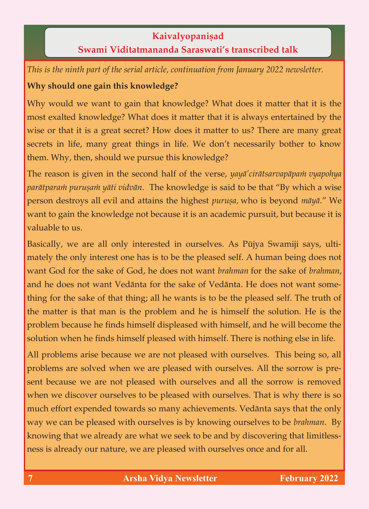#### **Kaivalyopaniṣad**<br>**Swami Viditatmananda Saraswati's transcribed talk Swami Viditatmananda Saraswati's transcribed talk**

*This is the ninth part of the serial article, continuation from January 2022 newsletter.*

### **Why should one gain this knowledge?**

Why would we want to gain that knowledge? What does it matter that it is the most exalted knowledge? What does it matter that it is always entertained by the wise or that it is a great secret? How does it matter to us? There are many great secrets in life, many great things in life. We don't necessarily bother to know  $\begin{array}{ccccc} \text{sum} & \text{sum} & \text{sum} & \text{sum} & \text{sum} & \text{sum} & \text{sum} & \text{sum} & \text{sum} & \text{sum} & \text{sum} & \text{sum} & \text{sum} & \text{sum} & \text{sum} & \text{sum} & \text{sum} & \text{sum} & \text{sum} & \text{sum} & \text{sum} & \text{max} & \text{max} & \text{max} & \text{max} & \text{max} & \text{max} & \text{max} & \text{max} & \text{max} & \text{max} & \text{max} & \text{max} & \text{max} & \text{max} & \text$  $\frac{1}{\sqrt{2}}$  then, should we pursue this knowledge?

The reason is given in the second half of the verse, *yayā' cirātsarvapāpam vyapohya parātparam puruṣam yāti vidvān*. The knowledge is said to be that "By which a wise *person destroys all evil and attains the highest purușa*, who is beyond māyā." We want to gain the knowledge not because it is an academic pursuit, but because it is want to gain to gain the knowledge not because it is an academic pursuit, but because it is an academic pursuit, but because it is an academic pursuit, but because it is an academic pursuit, but because it is an academic

Basically, we are all only interested in ourselves. As Pūjya Swamiji says, ulti-<br>mately the only interest one has is to be the pleased self. A human being does not want God for the sake of God, he does not want brahman for the sake of brahman, and he does not want Vedānta for the sake of Vedānta. He does not want something for the sake of that thing; all he wants is to be the pleased self. The truth of the matter is that man is the problem and he is himself the solution. He is the problem because he finds himself displeased with himself, and he will become the problem because he finds he finds himself displeased with himself displeased with himself displeased with himself displeased with himself displeased with himself displeased with himself displeased with the will become the solution with himself pleased with himself pleased with himself. There is no  $\sigma$ 

All problems arise because we are not pleased with ourselves. This being so, all problems are solved when we are pleased with ourselves. All the sorrow is present because we are not pleased with ourselves and all the sorrow is removed when we discover ourselves to be pleased with ourselves. That is why there is so much effort expended towards so many achievements. Vedanta says that the only way we can be pleased with ourselves is by knowing ourselves to be *brahman*. By knowing that we already are what we seek to be and by discovering that limitless- $\theta$  that we already are what we see to be and by discovering that  $\theta$ ness is already our nature, we are pleased with ourselves once and for all.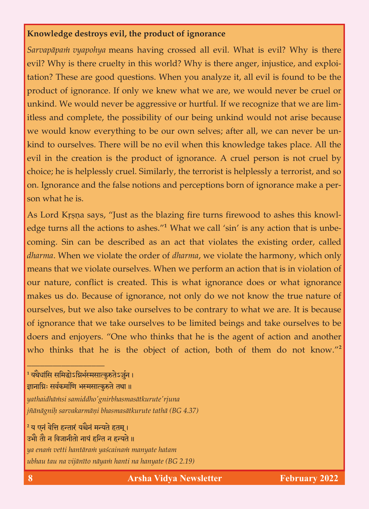## **Knowledge destroys existence of ignorance of ignorance of ignorance of ignorance**

*Sarvapāpam vyapohya* means having crossed all evil. What is evil? Why is there evil? Why is there cruelty in this world? Why is there anger, injustice, and exploitation? These are good questions. When you analyze it, all evil is found to be the product of ignorance. If only we knew what we are, we would never be cruel or unkind. We would never be aggressive or hurtful. If we recognize that we are limitless and complete, the possibility of our being unkind would not arise because we would know everything to be our own selves; after all, we can never be unkind to ourselves. There will be no evil when this knowledge takes place. All the evil in the creation is the product of ignorance. A cruel person is not cruel by choice; he is helplessly cruel. Similarly, the terrorist is helplessly a terrorist, and so on. Ignorance and the false notions and perceptions born of ignorance make a peron. Ignorance and the false notions and perceptions born of ignorance make a person what he is.

 $\alpha$  as the blazing fire turns fire turns fire turns fire turns fire turns fire turns firewood to askes this knowledge that the blazing fire turns fire  $\alpha$ edge turns all the actions to ashes. **The venture of the single structure** is unbecoming. Sin can be described as an act that violates the existing order, called *dharma*. When we violate the order of *dharma*, we violate the harmony, which only means that we violate ourselves. When we perform an action that is in violation of our nature, conflict is created. This is what ignorance does or what ignorance makes us do. Because of ignorance, not only do we not know the true nature of ourselves, but we also take ourselves to be contrary to what we are. It is because of ignorance that we take ourselves to be limited beings and take ourselves to be doers and enjoyers. "One who thinks that he is the agent of action and another  $\frac{d}{dt}$  and  $\frac{d}{dt}$  and  $\frac{d}{dt}$  is the action and another and another and another another another another another another another another another another another another another another another another another anoth who thinks that he is the object of action, both of them do not know."**<sup>2</sup>**

<sup>1</sup> यथैर्घासि समिद्धोऽग्निमेस्मसात्कुरुतेऽजुन । ज्ञानाग्निः सर्वकर्माणि भस्मसात्कुरुते तथा ॥ *yathaidhäàsi samiddho'gnirbhasmasätkurute'rjuna*

\_\_\_\_\_\_\_\_\_\_\_\_\_\_\_\_\_\_

*jïänägniù sarvakarmäëi bhasmasätkurute tathä (BG 4.37)*

<sup>2</sup> य एनं वेत्ति हन्तारं यश्चैनं मन्यते हतम्। उभौ तौ न विजानीतो नायं हन्ति न हन्यते ॥ *ya enaà vetti hantäraà yaçcainaà manyate hatam ubhau tau na vijänéto näyaà hanti na hanyate (BG 2.19)*

**8 Arsha Vidya Newsletter February 2022**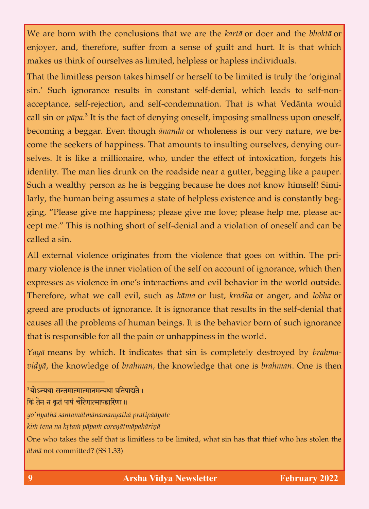We are born with the conclusions that we are the *kartā* or doer and the *bhoktā* or enjoyer, and, therefore, suffer from a sense of guilt and hurt. It is that which makes us think of ourselves as limited, helpless or hapless individuals. makes us think of ourselves as limited, helpless individuals. The limited, helpless individuals individuals.

That the limitless person takes himself or herself to be limited is truly the 'original sin.' Such ignorance results in constant self-denial, which leads to self-nonacceptance, self-rejection, and self-condemnation. That is what Vedānta would acceptance, self-rejection, and self-condemnation, and self-condemnation. The is what  $\frac{1}{2}$ call sin or *päpa.***<sup>3</sup>** becoming a beggar. Even though *ānanda* or wholeness is our very nature, we become the seekers of happiness. That amounts to insulting ourselves, denying ourselves. It is like a millionaire, who, under the effect of intoxication, forgets his identity. The man lies drunk on the roadside near a gutter, begging like a pauper. Such a wealthy person as he is begging because he does not know himself! Similarly, the human being assumes a state of helpless existence and is constantly begging, "Please give me happiness; please give me love; please help me, please accept me." This is nothing short of self-denial and a violation of oneself and can be  $\alpha$  This is nothing short of self-denial and a violation of oneself and can be violated and can be violated and can be violated and can be violated and can be violated and can be violated and can be violated and can be v

All external violence originates from the violence that goes on within. The pri-<br>mary violence is the inner violation of the self on account of ignorance, which then expresses as violence in one's interactions and evil behavior in the world outside. Therefore, what we call evil, such as kāma or lust, krodha or anger, and lobha or greed are products of ignorance. It is ignorance that results in the self-denial that causes all the problems of human beings. It is the behavior born of such ignorance that is responsible for all the pain or unhappiness in the world. that is responsible for all the pain or unhappiness in the world.

*Yayä* means by which. It indicates that sin is completely destroyed by *brahmavidyä*, the knowledge of *brahman,* the knowledge that one is *brahman*. One is then

\_\_\_\_\_\_\_\_\_\_\_\_\_\_\_\_\_\_

<sup>&</sup>lt;sup>3</sup>योऽन्यथा सन्तमात्मात्मानमन्यथा प्रतिपाद्यते ।

किं तेन न कृतं पापं चोरेणात्मापहारिणा ।।

*yo'nyathä santamätmänamanyathä pratipädyate*

*kià tena na kåtaà päpaà coreëätmäpahäriëä* One who takes the self that is limitless to be limited, what sin has that thief who has stolen the *ätmä* not committed? (SS 1.33)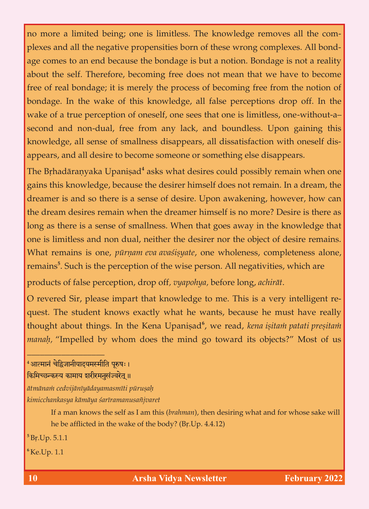no more a limited being; one is limitless. The knowledge removes all the comage comes to an end because the bondage is but a notion. Bondage is not a reality about the self. Therefore, becoming free does not mean that we have to become free of real bondage; it is merely the process of becoming free from the notion of bondage. In the wake of this knowledge, all false perceptions drop off. In the wake of a true perception of oneself, one sees that one is limitless, one-without-asecond and non-dual, free from any lack, and boundless. Upon gaining this knowledge, all sense of smallness disappears, all dissatisfaction with oneself disknowledge, all sense of smallness disappears, all disappears, all discatisfaction with ones experience of the  $\alpha$ appears, and all desire to become someone or something else disappears.

The Brhadāranyaka Upaniṣad<sup>4</sup> asks what desires could possibly remain when one gains this knowledge, because the desirer himself does not remain. In a dream, the dreamer is and so there is a sense of desire. Upon awakening, however, how can the dream desires remain when the dreamer himself is no more? Desire is there as long as there is a sense of smallness. When that goes away in the knowledge that one is limitless and non dual, neither the desirer nor the object of desire remains. What remains is one, pūrņam eva avasisyate, one wholeness, completeness alone, What remains is one, *pürëam eva avaçiñyate*, one wholeness, completeness alone, remains**<sup>5</sup>** . Such is the perception of the wise person. All negativities, which are

products of false perception, drop off*, vyapohya,* before long, *achirät*. quest. The student knows exactly what he wants, because he must have really  $\frac{1}{2}$  and studient knows exactly whose health he must have really he must have really he must have really have really have really have really have really have really have really have really have really have really hav thought about things. In the Kena Upani<del>sad</del> *manah*, "Impelled by whom does the mind go toward its objects?" Most of us *manaù,* "Impelled by whom does the mind go toward its objects?" Most of us

#### <sup>4</sup>आत्मानं चेद्विजानीयादयमस्मीति पुरुषः । किमिच्छन्कस्य कामाय शरीरमनुसंज्वरेत् ॥

\_\_\_\_\_\_\_\_\_\_\_\_\_\_\_\_\_\_

*ätmänaà cedvijänéyädayamasméti püruñaù kimicchankasya kämäya çaréramanusaïjvaret*

 $\frac{1}{2}$  and  $\frac{1}{2}$  and  $\frac{1}{2}$  and  $\frac{1}{2}$  and  $\frac{1}{2}$  and  $\frac{1}{2}$  and  $\frac{1}{2}$  and  $\frac{1}{2}$  and  $\frac{1}{2}$  and  $\frac{1}{2}$  and  $\frac{1}{2}$  and  $\frac{1}{2}$  and  $\frac{1}{2}$  and  $\frac{1}{2}$  and  $\frac{1}{2}$  and  $\frac{1}{2}$  a he be afflicted in the wake of the body? (Br.Up. 4.4.12)

**<sup>5</sup>**Bå.Up. 5.1.1

**<sup>6</sup>**Ke.Up. 1.1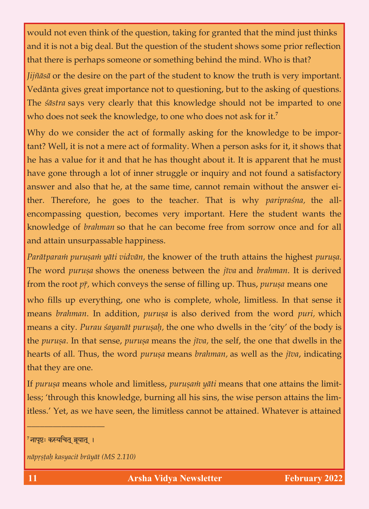would not even think of the question, taking for granted that the mind just thinks<br>and it is not a big deal. But the question of the student shows some prior reflection that there is perhaps someone or something behind the mind. Who is that? that there is perhaps some or some or some or some or some or some or some or some or some or some or some or

*Jijñāsā* or the desire on the part of the student to know the truth is very important.<br>Vedānta gives great importance not to questioning, but to the asking of questions. The *sastra* says very clearly that this knowledge should not be imparted to one The *çästra* says very clearly that this knowledge should not be imparted to one who does not seek the knowledge, to one who does not ask for it.**<sup>7</sup>**

Why do we consider the act of formally asking for the knowledge to be important? Well, it is not a mere act of formality. When a person asks for it, it shows that the has a value for it and that he has thought about it. It is apparent that he must have gone through a lot of inner struggle or inquiry and not found a satisfactory answer and also that he, at the same time, cannot remain without the answer either. Therefore, he goes to the teacher. That is why *pariprasna*, the allencompassing question, becomes very important. Here the student wants the encompassing question, becomes very important. Here the student wants the knowledge of *brahman* so that he can become free from sorrow once and for all and attain unsurpassable happiness.

*Parātparam puruṣam yāti vidvān,* the knower of the truth attains the highest *puruṣa*. The word *puruṣa* shows the oneness between the *jīva* and *brahman*. It is derived from the root  $p\bar{r}$ , which conveys the sense of filling up. Thus, *purusa* means one from the root *pè,* which conveys the sense of filling up. Thus, *puruña* means one

who fills up everything, one who is complete, whole, limitless. In that sense it means *brahman*. In addition, *purusa* is also derived from the word *puri*, which means a city. *Purau sayanāt puruṣaḥ*, the one who dwells in the 'city' of the body is the *purusa*. In that sense, *purusa* means the *jīva*, the self, the one that dwells in the the *puruña*. In that sense, *puruña* means the *jéva,* the self, the one that dwells in the hearts of all. Thus, the word *puruña* means *brahman,* as well as the *jéva*, indicating that they are one.

If *purușa* means whole and limitless, *purușam* yāti means that one attains the limit-<br>less; 'through this knowledge, burning all his sins, the wise person attains the limless; through the through the lim-distribution all his sins, the wise person at the wise person at the limit it steps to as we have seen, the limitial behavior before the limit  $\alpha$ 

\_\_\_\_\_\_\_\_\_\_\_\_\_\_\_\_\_\_

<sup>&</sup>lt;sup>7</sup>नापृष्टः कस्यचित् ब्रुयात् ।

 $n\bar{a}$ prṣṭaḥ kasyacit brūyāt (MS 2.110)